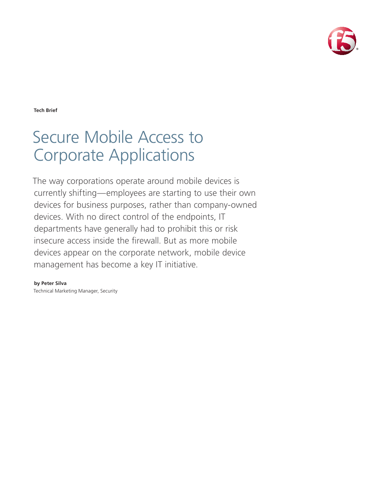

**Tech Brief**

# Secure Mobile Access to Corporate Applications

The way corporations operate around mobile devices is currently shifting—employees are starting to use their own devices for business purposes, rather than company-owned devices. With no direct control of the endpoints, IT departments have generally had to prohibit this or risk insecure access inside the firewall. But as more mobile devices appear on the corporate network, mobile device management has become a key IT initiative.

**by Peter Silva** Technical Marketing Manager, Security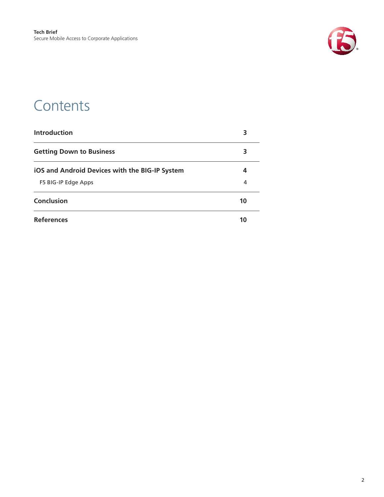

### **Contents**

| <b>Introduction</b>                            |    |
|------------------------------------------------|----|
| <b>Getting Down to Business</b>                | 3  |
| iOS and Android Devices with the BIG-IP System | 4  |
| F5 BIG-IP Edge Apps                            | 4  |
| Conclusion                                     | 10 |
| <b>References</b>                              | 10 |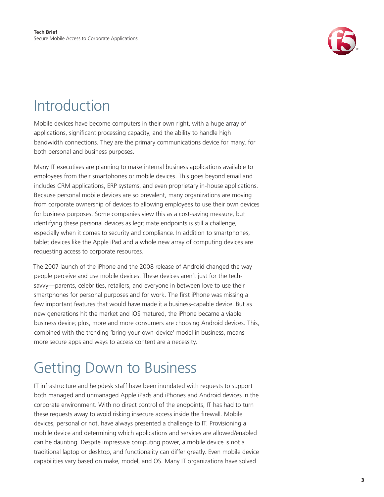

### <span id="page-2-0"></span>Introduction

Mobile devices have become computers in their own right, with a huge array of applications, significant processing capacity, and the ability to handle high bandwidth connections. They are the primary communications device for many, for both personal and business purposes.

Many IT executives are planning to make internal business applications available to employees from their smartphones or mobile devices. This goes beyond email and includes CRM applications, ERP systems, and even proprietary in-house applications. Because personal mobile devices are so prevalent, many organizations are moving from corporate ownership of devices to allowing employees to use their own devices for business purposes. Some companies view this as a cost-saving measure, but identifying these personal devices as legitimate endpoints is still a challenge, especially when it comes to security and compliance. In addition to smartphones, tablet devices like the Apple iPad and a whole new array of computing devices are requesting access to corporate resources.

The 2007 launch of the iPhone and the 2008 release of Android changed the way people perceive and use mobile devices. These devices aren't just for the techsavvy—parents, celebrities, retailers, and everyone in between love to use their smartphones for personal purposes and for work. The first iPhone was missing a few important features that would have made it a business-capable device. But as new generations hit the market and iOS matured, the iPhone became a viable business device; plus, more and more consumers are choosing Android devices. This, combined with the trending 'bring-your-own-device' model in business, means more secure apps and ways to access content are a necessity.

## Getting Down to Business

IT infrastructure and helpdesk staff have been inundated with requests to support both managed and unmanaged Apple iPads and iPhones and Android devices in the corporate environment. With no direct control of the endpoints, IT has had to turn these requests away to avoid risking insecure access inside the firewall. Mobile devices, personal or not, have always presented a challenge to IT. Provisioning a mobile device and determining which applications and services are allowed/enabled can be daunting. Despite impressive computing power, a mobile device is not a traditional laptop or desktop, and functionality can differ greatly. Even mobile device capabilities vary based on make, model, and OS. Many IT organizations have solved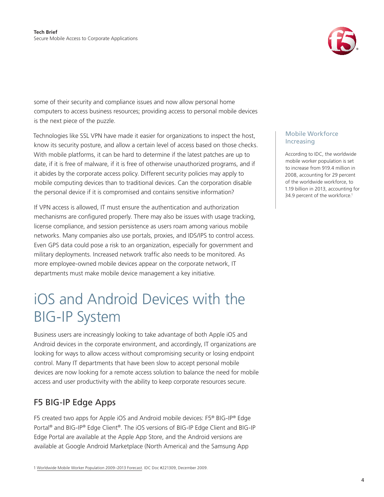

<span id="page-3-0"></span>some of their security and compliance issues and now allow personal home computers to access business resources; providing access to personal mobile devices is the next piece of the puzzle.

Technologies like SSL VPN have made it easier for organizations to inspect the host, know its security posture, and allow a certain level of access based on those checks. With mobile platforms, it can be hard to determine if the latest patches are up to date, if it is free of malware, if it is free of otherwise unauthorized programs, and if it abides by the corporate access policy. Different security policies may apply to mobile computing devices than to traditional devices. Can the corporation disable the personal device if it is compromised and contains sensitive information?

If VPN access is allowed, IT must ensure the authentication and authorization mechanisms are configured properly. There may also be issues with usage tracking, license compliance, and session persistence as users roam among various mobile networks. Many companies also use portals, proxies, and IDS/IPS to control access. Even GPS data could pose a risk to an organization, especially for government and military deployments. Increased network traffic also needs to be monitored. As more employee-owned mobile devices appear on the corporate network, IT departments must make mobile device management a key initiative.

### iOS and Android Devices with the BIG-IP System

Business users are increasingly looking to take advantage of both Apple iOS and Android devices in the corporate environment, and accordingly, IT organizations are looking for ways to allow access without compromising security or losing endpoint control. Many IT departments that have been slow to accept personal mobile devices are now looking for a remote access solution to balance the need for mobile access and user productivity with the ability to keep corporate resources secure.

### F5 BIG-IP Edge Apps

F5 created two apps for Apple iOS and Android mobile devices: F5® BIG-IP® Edge Portal® and BIG-IP® Edge Client®. The iOS versions of [BIG-IP Edge Client](http://itunes.apple.com/us/app/f5-big-ip-edge-client/id411062210?mt=8) and BIG-IP [Edge Portal](http://itunes.apple.com/us/app/f5-big-ip-edge-portal/id399900369?mt=8) are available at the [Apple App Store,](http://itunes.apple.com/us/app/f5-big-ip-edge-client/id411062210?mt=8) and the Android versions are available at [Google Android Marketplace](https://market.android.com/details?id=com.f5.edge.client) (North America) and the Samsung App

#### Mobile Workforce Increasing

According to IDC, the worldwide mobile worker population is set to increase from 919.4 million in 2008, accounting for 29 percent of the worldwide workforce, to 1.19 billion in 2013, accounting for 34.9 percent of the workforce.<sup>1</sup>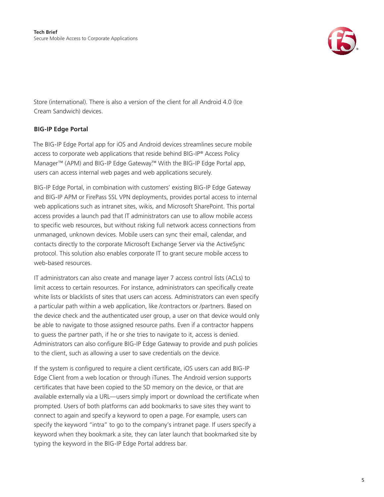

Store (international). There is also a [version of the client for all Android 4.0 \(Ice](https://market.android.com/details?id=com.f5.edge.client_ics)  [Cream Sandwich\)](https://market.android.com/details?id=com.f5.edge.client_ics) devices.

### **BIG-IP Edge Portal**

The BIG-IP Edge Portal app for iOS and Android devices streamlines secure mobile access to corporate web applications that reside behind BIG-IP® Access Policy Manager™ (APM) and BIG-IP Edge Gateway.™ With the BIG-IP Edge Portal app, users can access internal web pages and web applications securely.

BIG-IP Edge Portal, in combination with customers' existing BIG-IP Edge Gateway and BIG-IP APM or FirePass SSL VPN deployments, provides portal access to internal web applications such as intranet sites, wikis, and Microsoft SharePoint. This portal access provides a launch pad that IT administrators can use to allow mobile access to specific web resources, but without risking full network access connections from unmanaged, unknown devices. Mobile users can sync their email, calendar, and contacts directly to the corporate Microsoft Exchange Server via the ActiveSync protocol. This solution also enables corporate IT to grant secure mobile access to web-based resources.

IT administrators can also create and manage layer 7 access control lists (ACLs) to limit access to certain resources. For instance, administrators can specifically create white lists or blacklists of sites that users can access. Administrators can even specify a particular path within a web application, like /contractors or /partners. Based on the device check and the authenticated user group, a user on that device would only be able to navigate to those assigned resource paths. Even if a contractor happens to guess the partner path, if he or she tries to navigate to it, access is denied. Administrators can also configure BIG-IP Edge Gateway to provide and push policies to the client, such as allowing a user to save credentials on the device.

If the system is configured to require a client certificate, iOS users can add BIG-IP Edge Client from a web location or through iTunes. The Android version supports certificates that have been copied to the SD memory on the device, or that are available externally via a URL—users simply import or download the certificate when prompted. Users of both platforms can add bookmarks to save sites they want to connect to again and specify a keyword to open a page. For example, users can specify the keyword "intra" to go to the company's intranet page. If users specify a keyword when they bookmark a site, they can later launch that bookmarked site by typing the keyword in the BIG-IP Edge Portal address bar.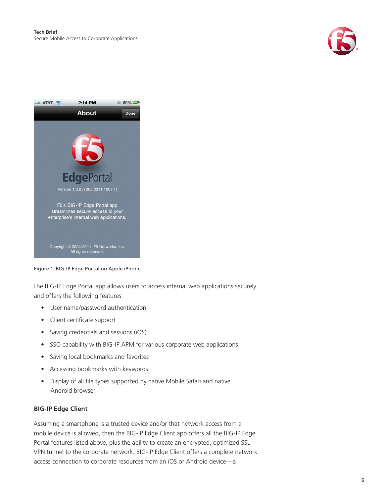



Figure 1: BIG-IP Edge Portal on Apple iPhone

The BIG-IP Edge Portal app allows users to access internal web applications securely and offers the following features:

- User name/password authentication
- • Client certificate support
- • Saving credentials and sessions (iOS)
- SSO capability with BIG-IP APM for various corporate web applications
- • Saving local bookmarks and favorites
- • Accessing bookmarks with keywords
- Display of all file types supported by native Mobile Safari and native Android browser

#### **BIG-IP Edge Client**

Assuming a smartphone is a trusted device and/or that network access from a mobile device is allowed, then the BIG-IP Edge Client app offers all the BIG-IP Edge Portal features listed above, plus the ability to create an encrypted, optimized SSL VPN tunnel to the corporate network. BIG-IP Edge Client offers a complete network access connection to corporate resources from an iOS or Android device—a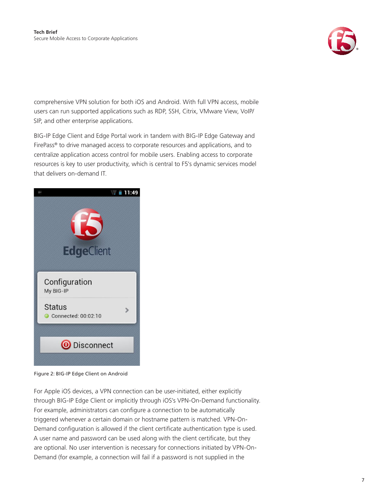

comprehensive VPN solution for both iOS and Android. With full VPN access, mobile users can run supported applications such as RDP, SSH, Citrix, VMware View, VoIP/ SIP, and other enterprise applications.

BIG-IP Edge Client and Edge Portal work in tandem with BIG-IP Edge Gateway and FirePass® to drive managed access to corporate resources and applications, and to centralize application access control for mobile users. Enabling access to corporate resources is key to user productivity, which is central to F5's dynamic services model that delivers on-demand IT.



Figure 2: BIG-IP Edge Client on Android

For Apple iOS devices, a VPN connection can be user-initiated, either explicitly through BIG-IP Edge Client or implicitly through iOS's VPN-On-Demand functionality. For example, administrators can configure a connection to be automatically triggered whenever a certain domain or hostname pattern is matched. VPN-On-Demand configuration is allowed if the client certificate authentication type is used. A user name and password can be used along with the client certificate, but they are optional. No user intervention is necessary for connections initiated by VPN-On-Demand (for example, a connection will fail if a password is not supplied in the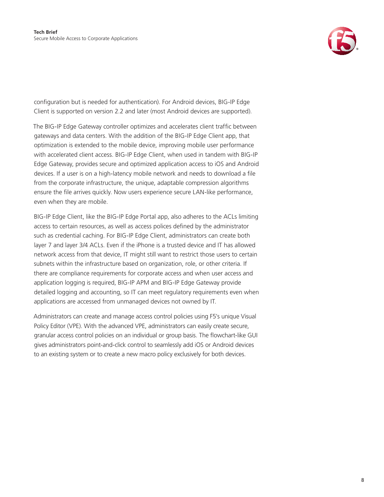

configuration but is needed for authentication). For Android devices, BIG-IP Edge Client is supported on version 2.2 and later (most Android devices are supported).

The BIG-IP Edge Gateway controller optimizes and accelerates client traffic between gateways and data centers. With the addition of the BIG-IP Edge Client app, that optimization is extended to the mobile device, improving mobile user performance with accelerated client access. BIG-IP Edge Client, when used in tandem with BIG-IP Edge Gateway, provides secure and optimized application access to iOS and Android devices. If a user is on a high-latency mobile network and needs to download a file from the corporate infrastructure, the unique, adaptable compression algorithms ensure the file arrives quickly. Now users experience secure LAN-like performance, even when they are mobile.

BIG-IP Edge Client, like the BIG-IP Edge Portal app, also adheres to the ACLs limiting access to certain resources, as well as access polices defined by the administrator such as credential caching. For BIG-IP Edge Client, administrators can create both layer 7 and layer 3/4 ACLs. Even if the iPhone is a trusted device and IT has allowed network access from that device, IT might still want to restrict those users to certain subnets within the infrastructure based on organization, role, or other criteria. If there are compliance requirements for corporate access and when user access and application logging is required, BIG-IP APM and BIG-IP Edge Gateway provide detailed logging and accounting, so IT can meet regulatory requirements even when applications are accessed from unmanaged devices not owned by IT.

Administrators can create and manage access control policies using F5's unique Visual Policy Editor (VPE). With the advanced VPE, administrators can easily create secure, granular access control policies on an individual or group basis. The flowchart-like GUI gives administrators point-and-click control to seamlessly add iOS or Android devices to an existing system or to create a new macro policy exclusively for both devices.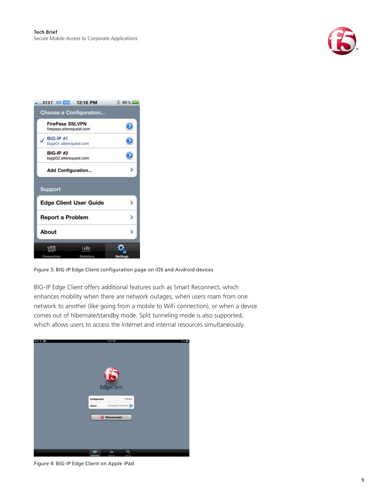



Figure 3: BIG-IP Edge Client configuration page on iOS and Android devices

BIG-IP Edge Client offers additional features such as Smart Reconnect, which enhances mobility when there are network outages, when users roam from one network to another (like going from a mobile to WiFi connection), or when a device comes out of hibernate/standby mode. Split tunneling mode is also supported, which allows users to access the Internet and internal resources simultaneously.

| iPad 今 図 | 9:32 AM                                                    | 81%                             |
|----------|------------------------------------------------------------|---------------------------------|
|          | EdgeClient                                                 |                                 |
|          | Configuration<br><b>Status</b>                             | Firepass<br>Connected: 00:05:39 |
|          | <b>O</b> Disconnect                                        |                                 |
|          |                                                            |                                 |
|          | w<br><b>Inte</b><br><b>Connection</b><br><b>Statistics</b> | ¢,<br>Settings                  |

Figure 4: BIG-IP Edge Client on Apple iPad